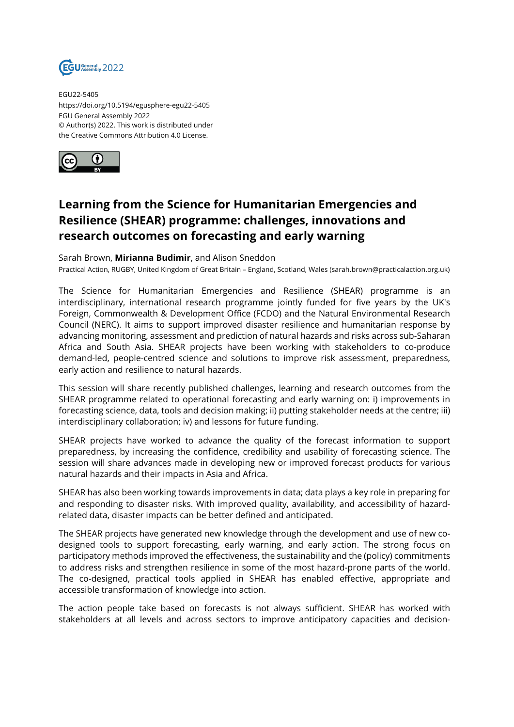

EGU22-5405 https://doi.org/10.5194/egusphere-egu22-5405 EGU General Assembly 2022 © Author(s) 2022. This work is distributed under the Creative Commons Attribution 4.0 License.



## **Learning from the Science for Humanitarian Emergencies and Resilience (SHEAR) programme: challenges, innovations and research outcomes on forecasting and early warning**

Sarah Brown, **Mirianna Budimir**, and Alison Sneddon

Practical Action, RUGBY, United Kingdom of Great Britain – England, Scotland, Wales (sarah.brown@practicalaction.org.uk)

The Science for Humanitarian Emergencies and Resilience (SHEAR) programme is an interdisciplinary, international research programme jointly funded for five years by the UK's Foreign, Commonwealth & Development Office (FCDO) and the Natural Environmental Research Council (NERC). It aims to support improved disaster resilience and humanitarian response by advancing monitoring, assessment and prediction of natural hazards and risks across sub-Saharan Africa and South Asia. SHEAR projects have been working with stakeholders to co-produce demand-led, people-centred science and solutions to improve risk assessment, preparedness, early action and resilience to natural hazards.

This session will share recently published challenges, learning and research outcomes from the SHEAR programme related to operational forecasting and early warning on: i) improvements in forecasting science, data, tools and decision making; ii) putting stakeholder needs at the centre; iii) interdisciplinary collaboration; iv) and lessons for future funding.

SHEAR projects have worked to advance the quality of the forecast information to support preparedness, by increasing the confidence, credibility and usability of forecasting science. The session will share advances made in developing new or improved forecast products for various natural hazards and their impacts in Asia and Africa.

SHEAR has also been working towards improvements in data; data plays a key role in preparing for and responding to disaster risks. With improved quality, availability, and accessibility of hazardrelated data, disaster impacts can be better defined and anticipated.

The SHEAR projects have generated new knowledge through the development and use of new codesigned tools to support forecasting, early warning, and early action. The strong focus on participatory methods improved the effectiveness, the sustainability and the (policy) commitments to address risks and strengthen resilience in some of the most hazard-prone parts of the world. The co-designed, practical tools applied in SHEAR has enabled effective, appropriate and accessible transformation of knowledge into action.

The action people take based on forecasts is not always sufficient. SHEAR has worked with stakeholders at all levels and across sectors to improve anticipatory capacities and decision